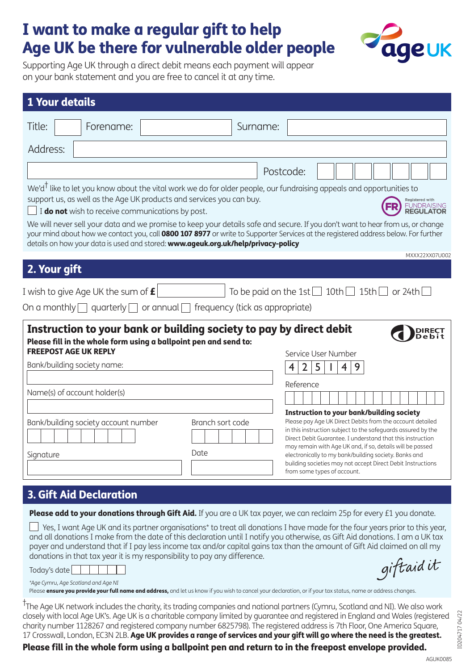## I want to make a regular gift to help Age UK be there for vulnerable older people



Supporting Age UK through a direct debit means each payment will appear on your bank statement and you are free to cancel it at any time.

| <b>1 Your details</b>                                                                                                                                                                                                                                                                                                                                                                                                                                                                                                                                                                                                                                                                         |                                                                                                                                                                                                                                                                                                                                                                                                                                                                                             |
|-----------------------------------------------------------------------------------------------------------------------------------------------------------------------------------------------------------------------------------------------------------------------------------------------------------------------------------------------------------------------------------------------------------------------------------------------------------------------------------------------------------------------------------------------------------------------------------------------------------------------------------------------------------------------------------------------|---------------------------------------------------------------------------------------------------------------------------------------------------------------------------------------------------------------------------------------------------------------------------------------------------------------------------------------------------------------------------------------------------------------------------------------------------------------------------------------------|
| Title:<br>Forename:                                                                                                                                                                                                                                                                                                                                                                                                                                                                                                                                                                                                                                                                           | Surname:                                                                                                                                                                                                                                                                                                                                                                                                                                                                                    |
| Address:                                                                                                                                                                                                                                                                                                                                                                                                                                                                                                                                                                                                                                                                                      |                                                                                                                                                                                                                                                                                                                                                                                                                                                                                             |
|                                                                                                                                                                                                                                                                                                                                                                                                                                                                                                                                                                                                                                                                                               | Postcode:                                                                                                                                                                                                                                                                                                                                                                                                                                                                                   |
| We'd <sup>†</sup> like to let you know about the vital work we do for older people, our fundraising appeals and opportunities to<br>support us, as well as the Age UK products and services you can buy.<br><b>Registered with</b><br><b>FUNDRAISING</b><br>I do not wish to receive communications by post.<br><b>REGULATOR</b><br>We will never sell your data and we promise to keep your details safe and secure. If you don't want to hear from us, or change<br>your mind about how we contact you, call 0800 107 8977 or write to Supporter Services at the registered address below. For further<br>details on how your data is used and stored: www.ageuk.org.uk/help/privacy-policy |                                                                                                                                                                                                                                                                                                                                                                                                                                                                                             |
| MXXX22XX07U002<br>2. Your gift                                                                                                                                                                                                                                                                                                                                                                                                                                                                                                                                                                                                                                                                |                                                                                                                                                                                                                                                                                                                                                                                                                                                                                             |
| I wish to give Age UK the sum of $\bm{E}$<br>To be paid on the 1st $\Box$ 10th $\Box$ 15th $\Box$ or 24th $\Box$<br>On a monthly $\Box$ quarterly $\Box$ or annual $\Box$ frequency (tick as appropriate)                                                                                                                                                                                                                                                                                                                                                                                                                                                                                     |                                                                                                                                                                                                                                                                                                                                                                                                                                                                                             |
| Instruction to your bank or building society to pay by direct debit<br>Please fill in the whole form using a ballpoint pen and send to:<br><b>FREEPOST AGE UK REPLY</b><br>Bank/building society name:                                                                                                                                                                                                                                                                                                                                                                                                                                                                                        | Service User Number<br>2 <sup>1</sup><br>5<br>$\overline{4}$<br>4                                                                                                                                                                                                                                                                                                                                                                                                                           |
| Name(s) of account holder(s)                                                                                                                                                                                                                                                                                                                                                                                                                                                                                                                                                                                                                                                                  | Reference                                                                                                                                                                                                                                                                                                                                                                                                                                                                                   |
| Bank/building society account number<br>Signature                                                                                                                                                                                                                                                                                                                                                                                                                                                                                                                                                                                                                                             | <b>Instruction to your bank/building society</b><br>Please pay Age UK Direct Debits from the account detailed<br>Branch sort code<br>in this instruction subject to the safeguards assured by the<br>Direct Debit Guarantee. I understand that this instruction<br>may remain with Age UK and, if so, details will be passed<br>Date<br>electronically to my bank/building society. Banks and<br>building societies may not accept Direct Debit Instructions<br>from some types of account. |

## 3. Gift Aid Declaration

Please add to your donations through Gift Aid. If you are a UK tax payer, we can reclaim 25p for every £1 you donate.

 $\Box$  Yes, I want Age UK and its partner organisations\* to treat all donations I have made for the four years prior to this year, and all donations I make from the date of this declaration until I notify you otherwise, as Gift Aid donations. I am a UK tax payer and understand that if I pay less income tax and/or capital gains tax than the amount of Gift Aid claimed on all my donations in that tax year it is my responsibility to pay any difference. giftaid it

Today's date

*\*Age Cymru, Age Scotland and Age NI* 

Please **ensure you provide your full name and address**, and let us know if you wish to cancel your declaration, or if your tax status, name or address changes.

† The Age UK network includes the charity, its trading companies and national partners (Cymru, Scotland and NI). We also work closely with local Age UK's. Age UK is a charitable company limited by guarantee and registered in England and Wales (registered charity number 1128267 and registered company number 6825798). The registered address is 7th Floor, One America Square, 17 Crosswall, London, EC3N 2LB. Age UK provides a range of services and your gift will go where the need is the greatest. Please fill in the whole form using a ballpoint pen and return to in the freepost envelope provided.